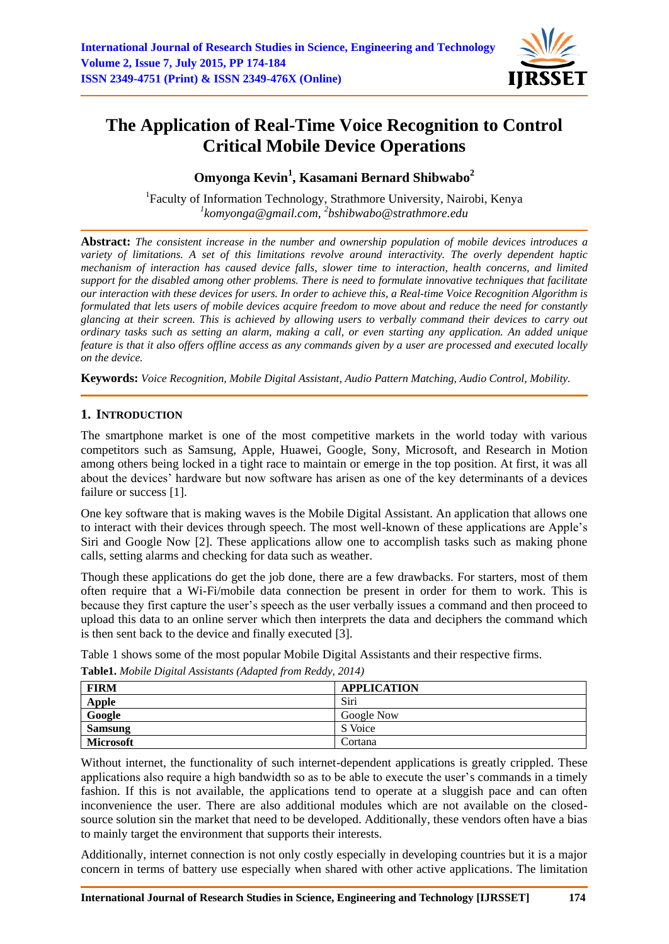

# **The Application of Real-Time Voice Recognition to Control Critical Mobile Device Operations**

# **Omyonga Kevin<sup>1</sup> , Kasamani Bernard Shibwabo<sup>2</sup>**

<sup>1</sup>Faculty of Information Technology, Strathmore University, Nairobi, Kenya *1 [komyonga@gmail.com,](mailto:1komyonga@gmail.com) 2 bshibwabo@strathmore.edu*

**Abstract:** *The consistent increase in the number and ownership population of mobile devices introduces a variety of limitations. A set of this limitations revolve around interactivity. The overly dependent haptic mechanism of interaction has caused device falls, slower time to interaction, health concerns, and limited support for the disabled among other problems. There is need to formulate innovative techniques that facilitate our interaction with these devices for users. In order to achieve this, a Real-time Voice Recognition Algorithm is formulated that lets users of mobile devices acquire freedom to move about and reduce the need for constantly glancing at their screen. This is achieved by allowing users to verbally command their devices to carry out ordinary tasks such as setting an alarm, making a call, or even starting any application. An added unique feature is that it also offers offline access as any commands given by a user are processed and executed locally on the device.*

**Keywords:** *Voice Recognition, Mobile Digital Assistant, Audio Pattern Matching, Audio Control, Mobility.*

# **1. INTRODUCTION**

The smartphone market is one of the most competitive markets in the world today with various competitors such as Samsung, Apple, Huawei, Google, Sony, Microsoft, and Research in Motion among others being locked in a tight race to maintain or emerge in the top position. At first, it was all about the devices" hardware but now software has arisen as one of the key determinants of a devices failure or success [1].

One key software that is making waves is the Mobile Digital Assistant. An application that allows one to interact with their devices through speech. The most well-known of these applications are Apple"s Siri and Google Now [2]. These applications allow one to accomplish tasks such as making phone calls, setting alarms and checking for data such as weather.

Though these applications do get the job done, there are a few drawbacks. For starters, most of them often require that a Wi-Fi/mobile data connection be present in order for them to work. This is because they first capture the user"s speech as the user verbally issues a command and then proceed to upload this data to an online server which then interprets the data and deciphers the command which is then sent back to the device and finally executed [3].

Table 1 shows some of the most popular Mobile Digital Assistants and their respective firms.

| <b>FIRM</b>      | <b>APPLICATION</b> |
|------------------|--------------------|
| <b>Apple</b>     | Siri               |
| Google           | Google Now         |
| <b>Samsung</b>   | S Voice            |
| <b>Microsoft</b> | Cortana            |

**Table1.** *Mobile Digital Assistants (Adapted from Reddy, 2014)*

Without internet, the functionality of such internet-dependent applications is greatly crippled. These applications also require a high bandwidth so as to be able to execute the user"s commands in a timely fashion. If this is not available, the applications tend to operate at a sluggish pace and can often inconvenience the user. There are also additional modules which are not available on the closedsource solution sin the market that need to be developed. Additionally, these vendors often have a bias to mainly target the environment that supports their interests.

Additionally, internet connection is not only costly especially in developing countries but it is a major concern in terms of battery use especially when shared with other active applications. The limitation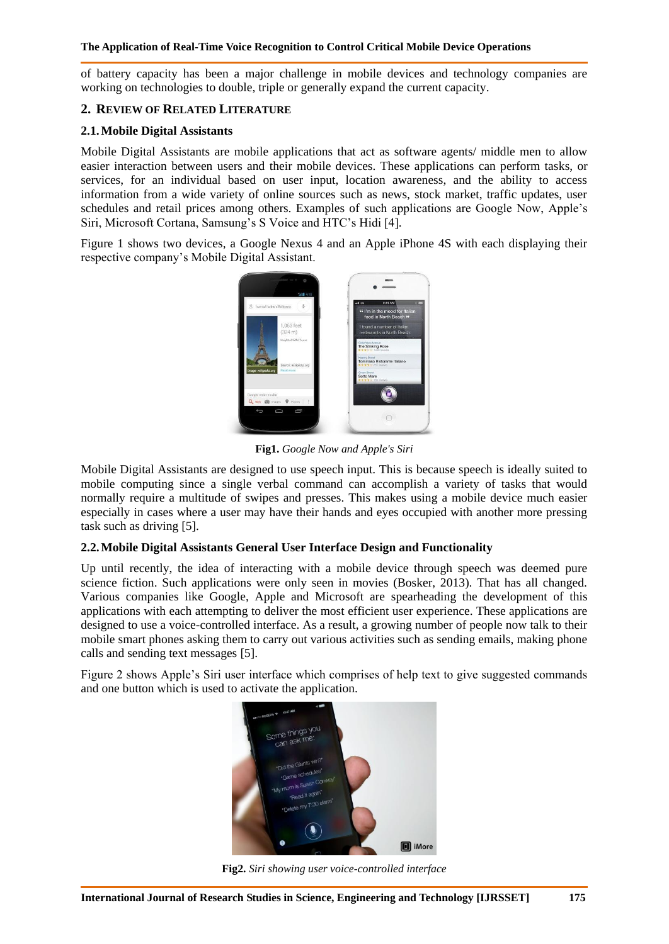of battery capacity has been a major challenge in mobile devices and technology companies are working on technologies to double, triple or generally expand the current capacity.

# **2. REVIEW OF RELATED LITERATURE**

#### **2.1.Mobile Digital Assistants**

Mobile Digital Assistants are mobile applications that act as software agents/ middle men to allow easier interaction between users and their mobile devices. These applications can perform tasks, or services, for an individual based on user input, location awareness, and the ability to access information from a wide variety of online sources such as news, stock market, traffic updates, user schedules and retail prices among others. Examples of such applications are Google Now, Apple"s Siri, Microsoft Cortana, Samsung's S Voice and HTC's Hidi [4].

Figure 1 shows two devices, a Google Nexus 4 and an Apple iPhone 4S with each displaying their respective company"s Mobile Digital Assistant.



**Fig1.** *Google Now and Apple's Siri*

Mobile Digital Assistants are designed to use speech input. This is because speech is ideally suited to mobile computing since a single verbal command can accomplish a variety of tasks that would normally require a multitude of swipes and presses. This makes using a mobile device much easier especially in cases where a user may have their hands and eyes occupied with another more pressing task such as driving [5].

# **2.2.Mobile Digital Assistants General User Interface Design and Functionality**

Up until recently, the idea of interacting with a mobile device through speech was deemed pure science fiction. Such applications were only seen in movies (Bosker, 2013). That has all changed. Various companies like Google, Apple and Microsoft are spearheading the development of this applications with each attempting to deliver the most efficient user experience. These applications are designed to use a voice-controlled interface. As a result, a growing number of people now talk to their mobile smart phones asking them to carry out various activities such as sending emails, making phone calls and sending text messages [5].

Figure 2 shows Apple"s Siri user interface which comprises of help text to give suggested commands and one button which is used to activate the application.



**Fig2.** *Siri showing user voice-controlled interface*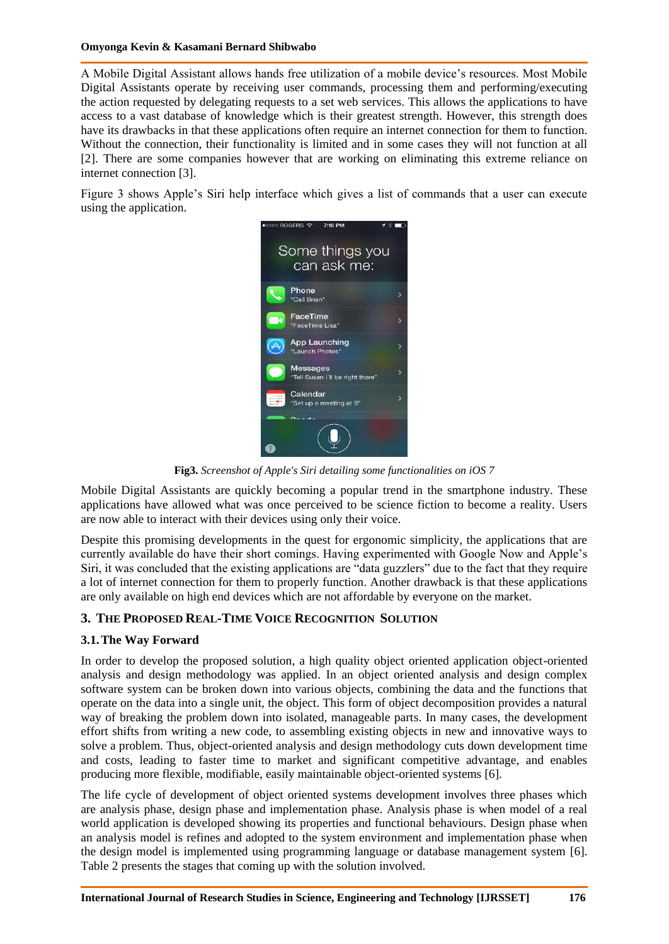#### **Omyonga Kevin & Kasamani Bernard Shibwabo**

A Mobile Digital Assistant allows hands free utilization of a mobile device"s resources. Most Mobile Digital Assistants operate by receiving user commands, processing them and performing/executing the action requested by delegating requests to a set web services. This allows the applications to have access to a vast database of knowledge which is their greatest strength. However, this strength does have its drawbacks in that these applications often require an internet connection for them to function. Without the connection, their functionality is limited and in some cases they will not function at all [2]. There are some companies however that are working on eliminating this extreme reliance on internet connection [3].

Figure 3 shows Apple"s Siri help interface which gives a list of commands that a user can execute using the application.



**Fig3.** *Screenshot of Apple's Siri detailing some functionalities on iOS 7*

Mobile Digital Assistants are quickly becoming a popular trend in the smartphone industry. These applications have allowed what was once perceived to be science fiction to become a reality. Users are now able to interact with their devices using only their voice.

Despite this promising developments in the quest for ergonomic simplicity, the applications that are currently available do have their short comings. Having experimented with Google Now and Apple"s Siri, it was concluded that the existing applications are "data guzzlers" due to the fact that they require a lot of internet connection for them to properly function. Another drawback is that these applications are only available on high end devices which are not affordable by everyone on the market.

# **3. THE PROPOSED REAL-TIME VOICE RECOGNITION SOLUTION**

# **3.1.The Way Forward**

In order to develop the proposed solution, a high quality object oriented application object-oriented analysis and design methodology was applied. In an object oriented analysis and design complex software system can be broken down into various objects, combining the data and the functions that operate on the data into a single unit, the object. This form of object decomposition provides a natural way of breaking the problem down into isolated, manageable parts. In many cases, the development effort shifts from writing a new code, to assembling existing objects in new and innovative ways to solve a problem. Thus, object-oriented analysis and design methodology cuts down development time and costs, leading to faster time to market and significant competitive advantage, and enables producing more flexible, modifiable, easily maintainable object-oriented systems [6].

The life cycle of development of object oriented systems development involves three phases which are analysis phase, design phase and implementation phase. Analysis phase is when model of a real world application is developed showing its properties and functional behaviours. Design phase when an analysis model is refines and adopted to the system environment and implementation phase when the design model is implemented using programming language or database management system [6]. Table 2 presents the stages that coming up with the solution involved.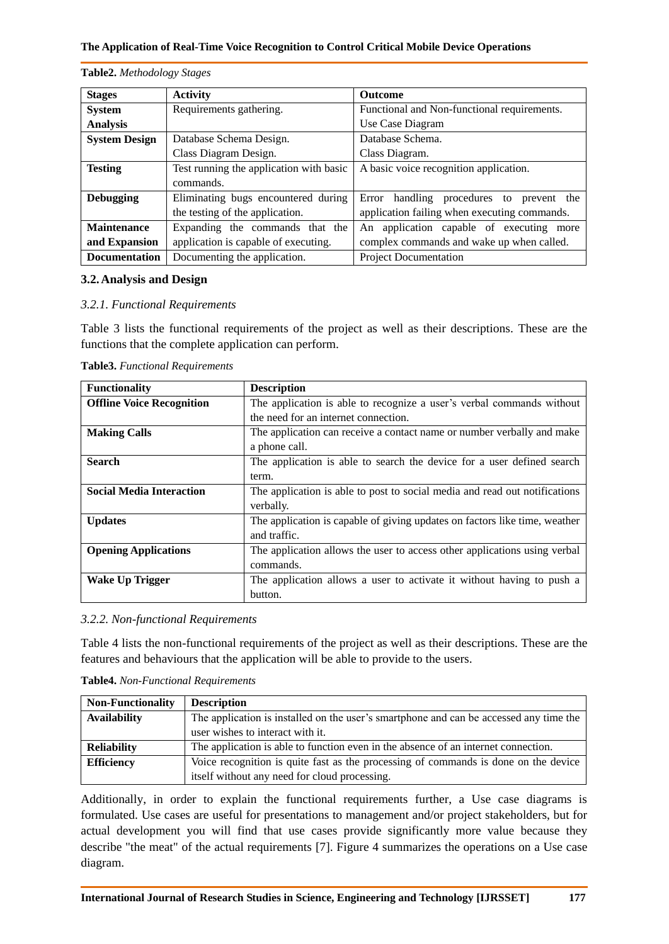**Table2.** *Methodology Stages*

| <b>Stages</b>        | <b>Activity</b>                         | <b>Outcome</b>                                 |
|----------------------|-----------------------------------------|------------------------------------------------|
| <b>System</b>        | Requirements gathering.                 | Functional and Non-functional requirements.    |
| <b>Analysis</b>      |                                         | Use Case Diagram                               |
| <b>System Design</b> | Database Schema Design.                 | Database Schema.                               |
|                      | Class Diagram Design.                   | Class Diagram.                                 |
| <b>Testing</b>       | Test running the application with basic | A basic voice recognition application.         |
|                      | commands.                               |                                                |
| <b>Debugging</b>     | Eliminating bugs encountered during     | handling procedures to<br>Error<br>prevent the |
|                      | the testing of the application.         | application failing when executing commands.   |
| <b>Maintenance</b>   | Expanding the commands that the         | application capable of executing more<br>An    |
| and Expansion        | application is capable of executing.    | complex commands and wake up when called.      |
| <b>Documentation</b> | Documenting the application.            | <b>Project Documentation</b>                   |

#### **3.2.Analysis and Design**

#### *3.2.1. Functional Requirements*

Table 3 lists the functional requirements of the project as well as their descriptions. These are the functions that the complete application can perform.

| <b>Functionality</b>             | <b>Description</b>                                                         |  |
|----------------------------------|----------------------------------------------------------------------------|--|
| <b>Offline Voice Recognition</b> | The application is able to recognize a user's verbal commands without      |  |
|                                  | the need for an internet connection.                                       |  |
| <b>Making Calls</b>              | The application can receive a contact name or number verbally and make     |  |
|                                  | a phone call.                                                              |  |
| <b>Search</b>                    | The application is able to search the device for a user defined search     |  |
|                                  | term.                                                                      |  |
| <b>Social Media Interaction</b>  | The application is able to post to social media and read out notifications |  |
|                                  | verbally.                                                                  |  |
| <b>Updates</b>                   | The application is capable of giving updates on factors like time, weather |  |
|                                  | and traffic.                                                               |  |
| <b>Opening Applications</b>      | The application allows the user to access other applications using verbal  |  |
|                                  | commands.                                                                  |  |
| <b>Wake Up Trigger</b>           | The application allows a user to activate it without having to push a      |  |
|                                  | button.                                                                    |  |

**Table3.** *Functional Requirements*

#### *3.2.2. Non-functional Requirements*

Table 4 lists the non-functional requirements of the project as well as their descriptions. These are the features and behaviours that the application will be able to provide to the users.

**Table4.** *Non-Functional Requirements*

| <b>Non-Functionality</b> | <b>Description</b>                                                                     |
|--------------------------|----------------------------------------------------------------------------------------|
| <b>Availability</b>      | The application is installed on the user's smartphone and can be accessed any time the |
|                          | user wishes to interact with it.                                                       |
| <b>Reliability</b>       | The application is able to function even in the absence of an internet connection.     |
| <b>Efficiency</b>        | Voice recognition is quite fast as the processing of commands is done on the device    |
|                          | itself without any need for cloud processing.                                          |

Additionally, in order to explain the functional requirements further, a Use case diagrams is formulated. Use cases are useful for presentations to management and/or project stakeholders, but for actual development you will find that use cases provide significantly more value because they describe "the meat" of the actual requirements [7]. Figure 4 summarizes the operations on a Use case diagram.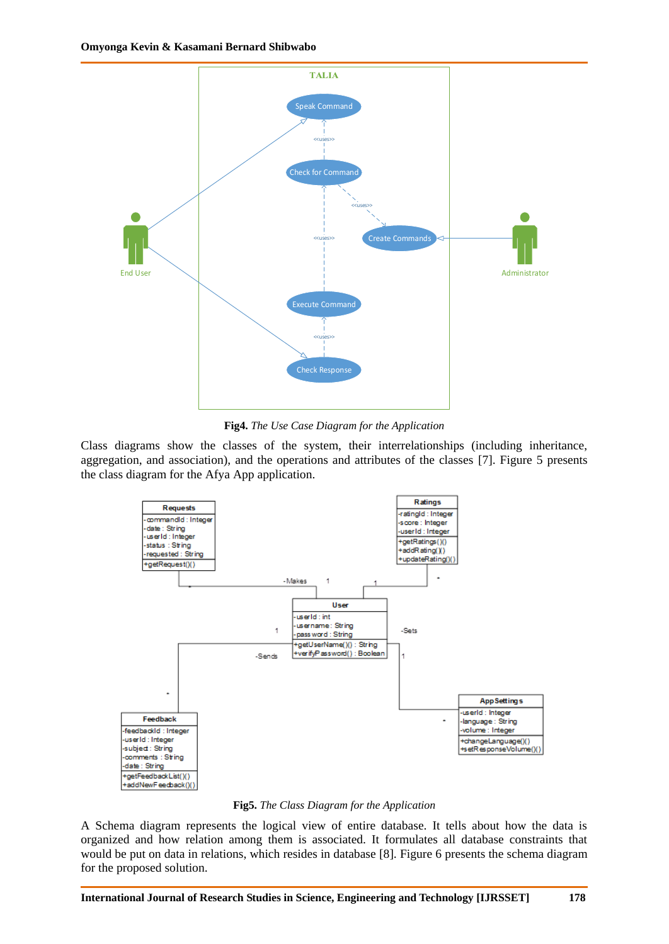

**Fig4.** *The Use Case Diagram for the Application*

Class diagrams show the classes of the system, their interrelationships (including inheritance, aggregation, and association), and the operations and attributes of the classes [7]. Figure 5 presents the class diagram for the Afya App application.



**Fig5.** *The Class Diagram for the Application*

A Schema diagram represents the logical view of entire database. It tells about how the data is organized and how relation among them is associated. It formulates all database constraints that would be put on data in relations, which resides in database [8]. Figure 6 presents the schema diagram for the proposed solution.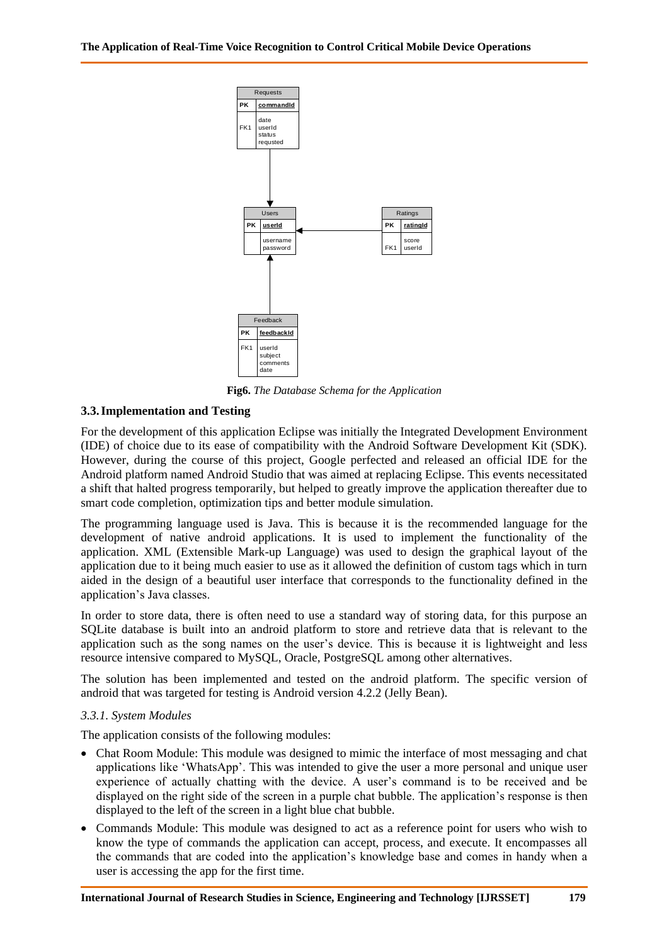

**Fig6.** *The Database Schema for the Application*

# **3.3.Implementation and Testing**

**International of Research Studies in Science Controllers** in Science in the system of Technology [III] of the second of Technology [III] of the second of Research Studies in Science in Science in Science in Science in th For the development of this application Eclipse was initially the Integrated Development Environment (IDE) of choice due to its ease of compatibility with the Android Software Development Kit (SDK). However, during the course of this project, Google perfected and released an official IDE for the Android platform named Android Studio that was aimed at replacing Eclipse. This events necessitated a shift that halted progress temporarily, but helped to greatly improve the application thereafter due to smart code completion, optimization tips and better module simulation.

The programming language used is Java. This is because it is the recommended language for the development of native android applications. It is used to implement the functionality of the application. XML (Extensible Mark-up Language) was used to design the graphical layout of the application due to it being much easier to use as it allowed the definition of custom tags which in turn aided in the design of a beautiful user interface that corresponds to the functionality defined in the application"s Java classes.

In order to store data, there is often need to use a standard way of storing data, for this purpose an SQLite database is built into an android platform to store and retrieve data that is relevant to the application such as the song names on the user"s device. This is because it is lightweight and less resource intensive compared to MySQL, Oracle, PostgreSQL among other alternatives.

The solution has been implemented and tested on the android platform. The specific version of android that was targeted for testing is Android version 4.2.2 (Jelly Bean).

# *3.3.1. System Modules*

The application consists of the following modules:

- Chat Room Module: This module was designed to mimic the interface of most messaging and chat applications like "WhatsApp". This was intended to give the user a more personal and unique user experience of actually chatting with the device. A user's command is to be received and be displayed on the right side of the screen in a purple chat bubble. The application"s response is then displayed to the left of the screen in a light blue chat bubble.
- Commands Module: This module was designed to act as a reference point for users who wish to know the type of commands the application can accept, process, and execute. It encompasses all the commands that are coded into the application"s knowledge base and comes in handy when a user is accessing the app for the first time.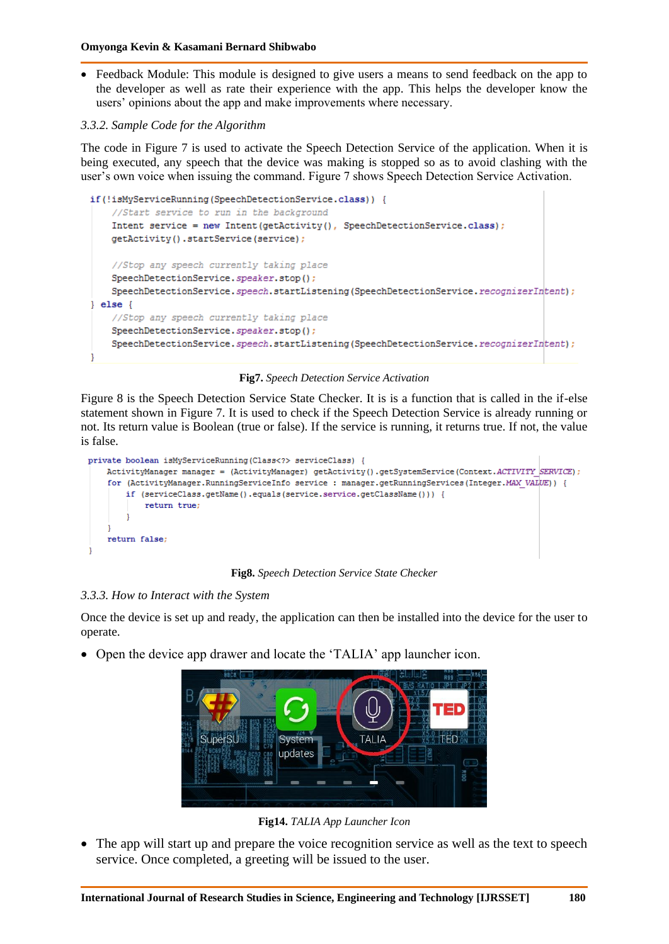- Feedback Module: This module is designed to give users a means to send feedback on the app to the developer as well as rate their experience with the app. This helps the developer know the users" opinions about the app and make improvements where necessary.
- *3.3.2. Sample Code for the Algorithm*

The code in Figure 7 is used to activate the Speech Detection Service of the application. When it is being executed, any speech that the device was making is stopped so as to avoid clashing with the user"s own voice when issuing the command. Figure 7 shows Speech Detection Service Activation.

```
if(!isMyServiceRunning(SpeechDetectionService.class)) {
    //Start service to run in the background
    Intent service = new Intent(getActivity(), SpeechDetectionService.class);
    getActivity().startService(service);
    //Stop any speech currently taking place
   SpeechDetectionService.speaker.stop();
   SpeechDetectionService.speech.startListening(SpeechDetectionService.recognizerIntent);
\} else {
   //Stop any speech currently taking place
    SpeechDetectionService.speaker.stop();
    SpeechDetectionService.speech.startListening(SpeechDetectionService.recognizerIntent);
```
### **Fig7.** *Speech Detection Service Activation*

Figure 8 is the Speech Detection Service State Checker. It is is a function that is called in the if-else statement shown in Figure 7. It is used to check if the Speech Detection Service is already running or not. Its return value is Boolean (true or false). If the service is running, it returns true. If not, the value is false.



**Fig8.** *Speech Detection Service State Checker*

# *3.3.3. How to Interact with the System*

Once the device is set up and ready, the application can then be installed into the device for the user to operate.

• Open the device app drawer and locate the 'TALIA' app launcher icon.



**Fig14.** *TALIA App Launcher Icon*

 The app will start up and prepare the voice recognition service as well as the text to speech service. Once completed, a greeting will be issued to the user.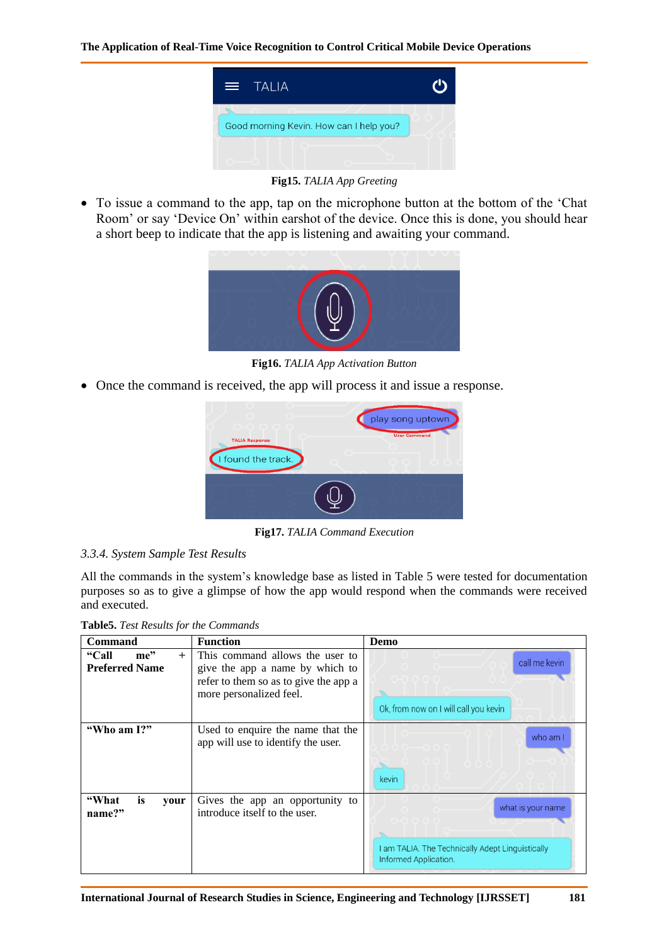

**Fig15.** *TALIA App Greeting*

• To issue a command to the app, tap on the microphone button at the bottom of the 'Chat Room" or say "Device On" within earshot of the device. Once this is done, you should hear a short beep to indicate that the app is listening and awaiting your command.



**Fig16.** *TALIA App Activation Button*

• Once the command is received, the app will process it and issue a response.



**Fig17.** *TALIA Command Execution*

### *3.3.4. System Sample Test Results*

All the commands in the system"s knowledge base as listed in Table 5 were tested for documentation purposes so as to give a glimpse of how the app would respond when the commands were received and executed.

**Table5.** *Test Results for the Commands*

| Command                                                    | <b>Function</b>                                                                                                                        | Demo                                                                                           |
|------------------------------------------------------------|----------------------------------------------------------------------------------------------------------------------------------------|------------------------------------------------------------------------------------------------|
| $me$ <sup>"</sup><br>"Call<br>$+$<br><b>Preferred Name</b> | This command allows the user to<br>give the app a name by which to<br>refer to them so as to give the app a<br>more personalized feel. | call me kevin<br>Ok, from now on I will call you kevin                                         |
| "Who am I?"                                                | Used to enquire the name that the<br>app will use to identify the user.                                                                | who am I<br>kevin                                                                              |
| is<br>"What<br>your<br>name?"                              | Gives the app an opportunity to<br>introduce itself to the user.                                                                       | what is your name<br>I am TALIA. The Technically Adept Linguistically<br>Informed Application. |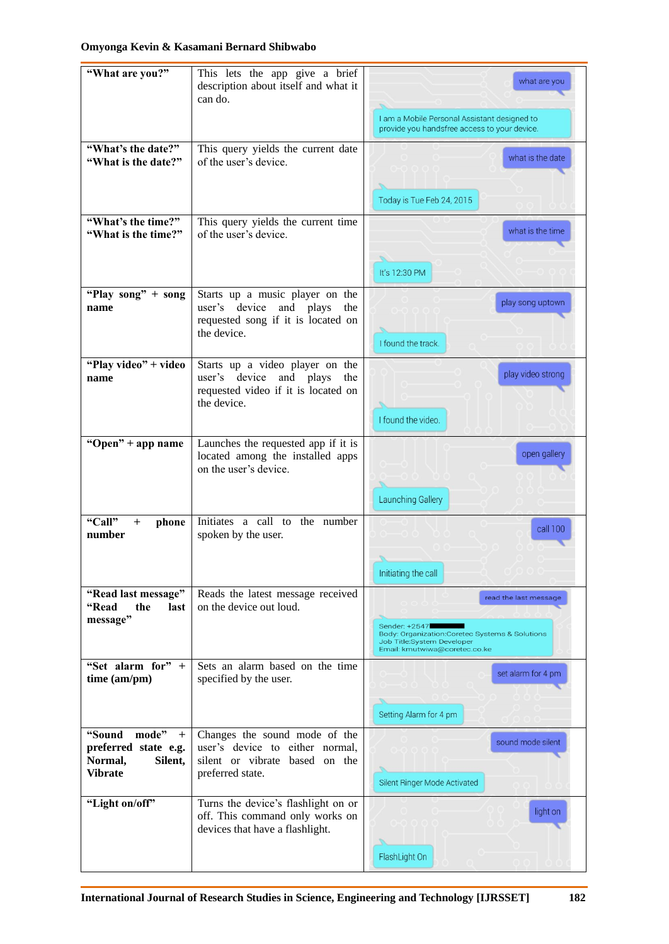# **Omyonga Kevin & Kasamani Bernard Shibwabo**

| "What are you?"                                                                           | This lets the app give a brief<br>description about itself and what it<br>can do.                                          | what are you                                                                                                                    |
|-------------------------------------------------------------------------------------------|----------------------------------------------------------------------------------------------------------------------------|---------------------------------------------------------------------------------------------------------------------------------|
|                                                                                           |                                                                                                                            | I am a Mobile Personal Assistant designed to<br>provide you handsfree access to your device.                                    |
| "What's the date?"<br>"What is the date?"                                                 | This query yields the current date<br>of the user's device.                                                                | what is the date                                                                                                                |
|                                                                                           |                                                                                                                            | Today is Tue Feb 24, 2015                                                                                                       |
| "What's the time?"<br>"What is the time?"                                                 | This query yields the current time<br>of the user's device.                                                                | what is the time                                                                                                                |
|                                                                                           |                                                                                                                            | It's 12:30 PM                                                                                                                   |
| "Play song" + song<br>name                                                                | Starts up a music player on the<br>user's device<br>and plays<br>the<br>requested song if it is located on<br>the device.  | play song uptown<br>I found the track.                                                                                          |
| "Play video" + video<br>name                                                              | Starts up a video player on the<br>user's device<br>and plays<br>the<br>requested video if it is located on<br>the device. | play video strong<br>I found the video.                                                                                         |
| "Open" + app name                                                                         | Launches the requested app if it is<br>located among the installed apps<br>on the user's device.                           | open gallery<br>Launching Gallery                                                                                               |
| "Call"<br>$+$<br>phone<br>number                                                          | Initiates a call to the number<br>spoken by the user.                                                                      | call 100<br>Initiating the call                                                                                                 |
| "Read last message"<br><b>"Read</b><br>the<br>last                                        | Reads the latest message received<br>on the device out loud.                                                               | read the last message                                                                                                           |
| message"                                                                                  |                                                                                                                            | Sender: +2547<br>Body: Organization: Coretec Systems & Solutions<br>Job Title:System Developer<br>Email: kmutwiwa@coretec.co.ke |
| "Set alarm for" $+$<br>time (am/pm)                                                       | Sets an alarm based on the time<br>specified by the user.                                                                  | set alarm for 4 pm                                                                                                              |
|                                                                                           |                                                                                                                            | Setting Alarm for 4 pm                                                                                                          |
| "Sound<br>mode"<br>$^{+}$<br>preferred state e.g.<br>Normal,<br>Silent,<br><b>Vibrate</b> | Changes the sound mode of the<br>user's device to either normal,<br>silent or vibrate based on the<br>preferred state.     | sound mode silent<br>Silent Ringer Mode Activated                                                                               |
| "Light on/off"                                                                            | Turns the device's flashlight on or<br>off. This command only works on<br>devices that have a flashlight.                  | light on<br>FlashLight On                                                                                                       |
|                                                                                           |                                                                                                                            |                                                                                                                                 |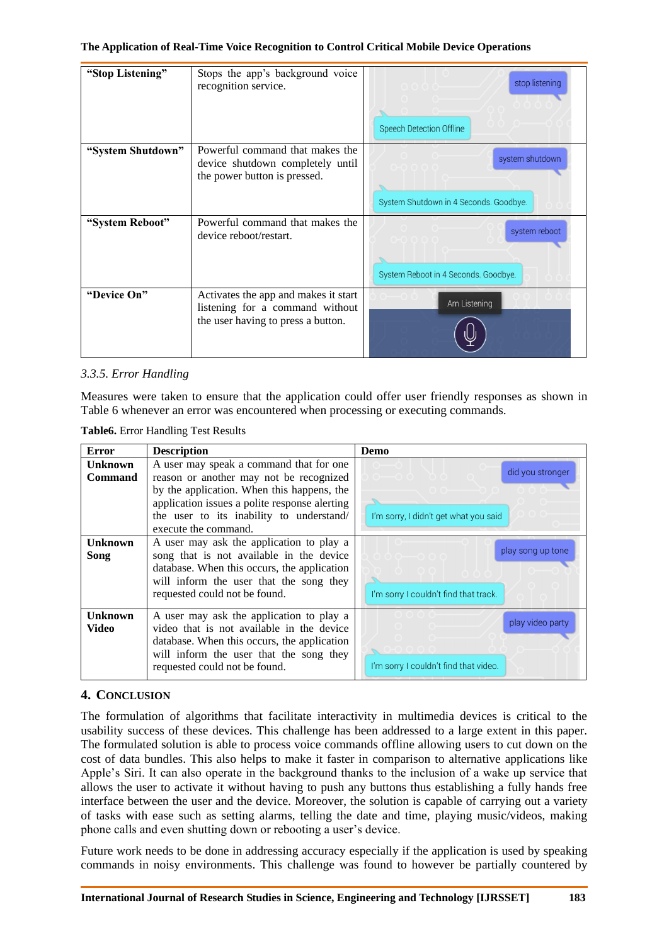#### **The Application of Real-Time Voice Recognition to Control Critical Mobile Device Operations**

| "Stop Listening"  | Stops the app's background voice<br>recognition service.                                            | stop listening                         |
|-------------------|-----------------------------------------------------------------------------------------------------|----------------------------------------|
|                   |                                                                                                     | Speech Detection Offline               |
| "System Shutdown" | Powerful command that makes the<br>device shutdown completely until<br>the power button is pressed. | system shutdown                        |
|                   |                                                                                                     | System Shutdown in 4 Seconds. Goodbye. |
| "System Reboot"   | Powerful command that makes the<br>device reboot/restart.                                           | system reboot                          |
|                   |                                                                                                     | System Reboot in 4 Seconds. Goodbye.   |
| "Device On"       | Activates the app and makes it start<br>listening for a command without                             | Am Listening                           |
|                   | the user having to press a button.                                                                  |                                        |

# *3.3.5. Error Handling*

Measures were taken to ensure that the application could offer user friendly responses as shown in Table 6 whenever an error was encountered when processing or executing commands.

**Table6.** Error Handling Test Results

| Error          | <b>Description</b>                            | Demo                                  |
|----------------|-----------------------------------------------|---------------------------------------|
| <b>Unknown</b> | A user may speak a command that for one       |                                       |
| <b>Command</b> | reason or another may not be recognized       | did you stronger                      |
|                | by the application. When this happens, the    |                                       |
|                | application issues a polite response alerting |                                       |
|                | the user to its inability to understand/      | I'm sorry, I didn't get what you said |
|                | execute the command.                          |                                       |
| <b>Unknown</b> | A user may ask the application to play a      |                                       |
| Song           | song that is not available in the device      | play song up tone                     |
|                | database. When this occurs, the application   |                                       |
|                | will inform the user that the song they       |                                       |
|                | requested could not be found.                 | I'm sorry I couldn't find that track. |
| <b>Unknown</b> | A user may ask the application to play a      |                                       |
| Video          | video that is not available in the device     | play video party                      |
|                | database. When this occurs, the application   |                                       |
|                | will inform the user that the song they       |                                       |
|                | requested could not be found.                 | I'm sorry I couldn't find that video. |

# **4. CONCLUSION**

The formulation of algorithms that facilitate interactivity in multimedia devices is critical to the usability success of these devices. This challenge has been addressed to a large extent in this paper. The formulated solution is able to process voice commands offline allowing users to cut down on the cost of data bundles. This also helps to make it faster in comparison to alternative applications like Apple"s Siri. It can also operate in the background thanks to the inclusion of a wake up service that allows the user to activate it without having to push any buttons thus establishing a fully hands free interface between the user and the device. Moreover, the solution is capable of carrying out a variety of tasks with ease such as setting alarms, telling the date and time, playing music/videos, making phone calls and even shutting down or rebooting a user's device.

Future work needs to be done in addressing accuracy especially if the application is used by speaking commands in noisy environments. This challenge was found to however be partially countered by